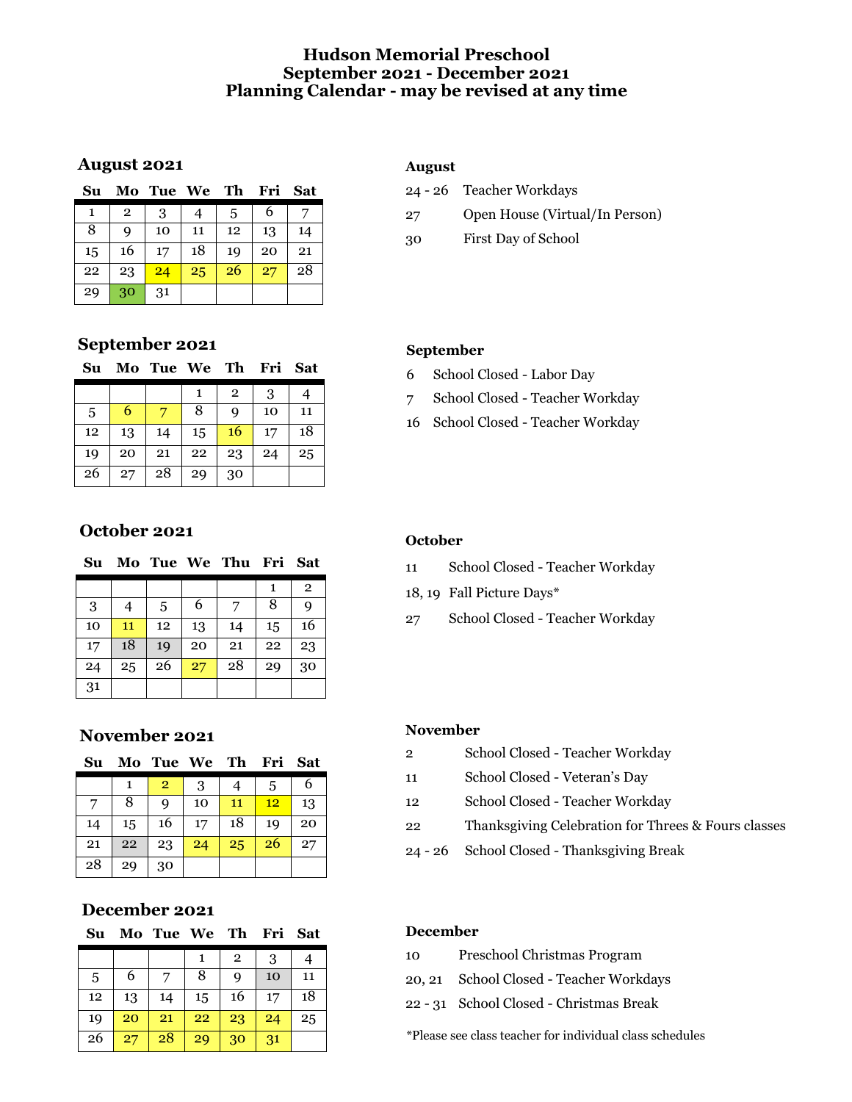# **Hudson Memorial Preschool September 2021 - December 2021 Planning Calendar - may be revised at any time**

### **August 2021**

| Su |                | Mo Tue We Th |    |    | Fri | Sat |
|----|----------------|--------------|----|----|-----|-----|
| 1  | $\overline{2}$ | 3            |    | 5  | 6   |     |
| 8  | Q              | 10           | 11 | 12 | 13  | 14  |
| 15 | 16             | 17           | 18 | 19 | 20  | 21  |
| 22 | 23             | 24           | 25 | 26 | 27  | 28  |
| 29 | 30             | 31           |    |    |     |     |

# **September 2021**

| Su |    | Mo Tue We Th |    |                | Fri | <b>Sat</b> |
|----|----|--------------|----|----------------|-----|------------|
|    |    |              | 1  | $\overline{2}$ | 3   | 4          |
| 5  | 6  |              | 8  | 9              | 10  | 11         |
| 12 | 13 | 14           | 15 | 16             | 17  | 18         |
| 19 | 20 | 21           | 22 | 23             | 24  | 25         |
| 26 | 27 | 28           | 29 | 30             |     |            |

# **October 2021**

| Su |    |    |    | Mo Tue We Thu Fri Sat |    |                |
|----|----|----|----|-----------------------|----|----------------|
|    |    |    |    |                       | 1  | $\overline{2}$ |
| 3  | 4  | 5  | 6  | 7                     | 8  | 9              |
| 10 | 11 | 12 | 13 | 14                    | 15 | 16             |
| 17 | 18 | 19 | 20 | 21                    | 22 | 23             |
| 24 | 25 | 26 | 27 | 28                    | 29 | 30             |
| 31 |    |    |    |                       |    |                |

# **November 2021**

| Su |    | Mo Tue We Th Fri |    |    |    | <b>Sat</b> |
|----|----|------------------|----|----|----|------------|
|    |    | $\overline{2}$   | 3  |    | 5  | 6          |
| 7  | 8  | q                | 10 | 11 | 12 | 13         |
| 14 | 15 | 16               | 17 | 18 | 19 | 20         |
| 21 | 22 | 23               | 24 | 25 | 26 | 27         |
| 28 | 29 | 30               |    |    |    |            |

# **December 2021**

| Su |    | Mo Tue We Th |    |                | Fri | <b>Sat</b> |
|----|----|--------------|----|----------------|-----|------------|
|    |    |              | 1  | $\overline{2}$ | 3   |            |
| 5  | 6  |              | 8  | Q              | 10  | 11         |
| 12 | 13 | 14           | 15 | 16             | 17  | 18         |
| 19 | 20 | 21           | 22 | 23             | 24  | 25         |
| 26 | 27 | 28           | 29 | 30             | 31  |            |

### **August**

|    | 24 - 26 Teacher Workdays       |
|----|--------------------------------|
| 27 | Open House (Virtual/In Person) |
| 30 | First Day of School            |

### **September**

- School Closed Labor Day
- School Closed Teacher Workday
- School Closed Teacher Workday

#### **October**

- School Closed Teacher Workday
- 18, 19 Fall Picture Days\*
- School Closed Teacher Workday

#### **November**

- School Closed Teacher Workday
- School Closed Veteran's Day
- School Closed Teacher Workday
- Thanksgiving Celebration for Threes & Fours classes
- 26 School Closed Thanksgiving Break

#### **December**

- Preschool Christmas Program
- 20, 21 School Closed Teacher Workdays
- 31 School Closed Christmas Break

\*Please see class teacher for individual class schedules